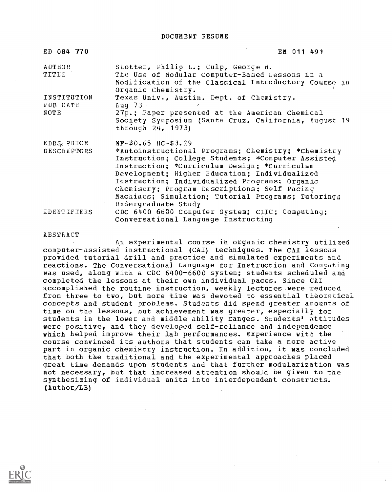DOCUMENT RESUME

| ED 084 770                                | EM 011 491                                                                                                                                                                                                                                                                                                                                                                                                    |
|-------------------------------------------|---------------------------------------------------------------------------------------------------------------------------------------------------------------------------------------------------------------------------------------------------------------------------------------------------------------------------------------------------------------------------------------------------------------|
| <b>AUTHOR</b><br>TITLE                    | Stotter, Philip L.; Culp, George H.<br>The Use of Modular Computer-Based Lessons in a<br>Modification of the Classical Introductory Course in<br>Organic Chemistry.                                                                                                                                                                                                                                           |
| INSTITUTION<br>PUB DATE<br>NOTE           | Texas Univ., Austin. Dept. of Chemistry.<br>Aug $73$<br>27p.; Paper presented at the American Chemical<br>Society Symposium (Santa Cruz, California, August 19<br>through 24, 1973)                                                                                                                                                                                                                           |
| $EDRS_{\varnothing}$ PRICE<br>DESCRIPTORS | MF-\$0.65 HC-\$3.29<br>*Autoinstructional Programs; Chemistry; *Chemistry<br>Instruction; College Students; *Computer Assisted<br>Instruction; *Curriculum Design; *Curriculum<br>Development; Higher Education; Individualized<br>Instruction; Individualized Programs; Organic<br>Chemistry; Program Descriptions; Self Pacing<br>Machines; Simulation; Tutorial Programs; Tutoring;<br>Undergraduate Study |
| IDENTIFIERS                               | CDC 6400 6600 Computer System; CLIC; Computing;<br>Conversational Language Instructing                                                                                                                                                                                                                                                                                                                        |

ABSTRACT

An experimental course in organic chemistry utilized computer-assisted instructional (CAI) techniques. The CAI lessons provided tutorial drill and practice and simulated experiments and reactions. The Conversational Language for Instruction and Computing was used, along with a CDC 6400-6600 system; students scheduled and completed the lessons at their own individual paces. Since CAI accomplished the routine instruction, weekly lectures were reduced from three to two, but more time was devoted to essential theoretical concepts and student problems. Students did spend greater amounts of time on the lessons, but achievement was greater, especially for students 'in the lower and middle ability ranges. Students' attitudes were positive, and they developed self-reliance and independence which helped improve their lab performances. Experience with the course convinced its authors that students can take a more active part in organic chemistry instruction. In addition, it was concluded that both the traditional and the experimental approaches placed great time demands upon students and that further modularization was not necessary, but that increased attention should be given to the synthesizing of individual units into interdependent constructs. (Author/LB)

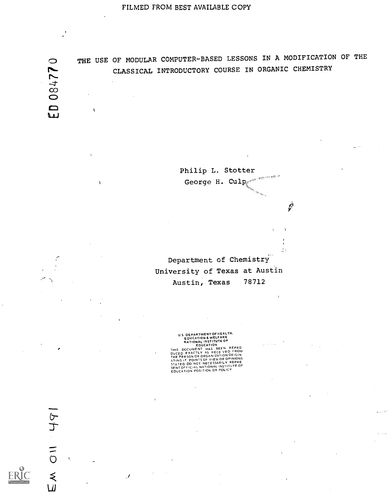084771  $\mathbf{q}$ 

Ń

 $\mathbf{I}$ 

CD THE USE OF MODULAR COMPUTER-BASED LESSONS IN A MODIFICATION OF THE CLASSICAL INTRODUCTORY COURSE IN ORGANIC CHEMISTRY

> Philip L. Stotter George H.  $Culp$

> > Ġ

 $\bar{V}$ 

đ.

u bu

Department of Chemistry University of Texas at Austin Austin, Texas 78712

U.S. DEPARTMENT OF NEATHER<br>
EDUCATION & WELFARE<br>
EDUCATION<br>
EDUCATION AND SEVER PEPRO<br>
THIS DOCUMENT HAS BEEN REPRO<br>
DUCED EXACTLY AS RECE VED FROM<br>
NING IT POINTS OF VIEWOR OPINIONS<br>
STATED DO NOT NECESSARILY REPRE<br>
STATE

 $\mathcal{J}$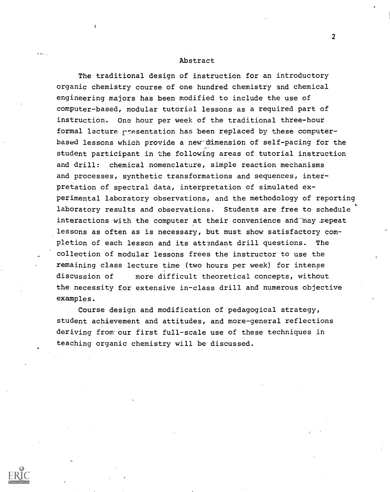#### Abstract

The traditional design of instruction for an introductory organic chemistry course of one hundred chemistry and chemical engineering majors has been modified to include the use of computer-based, modular tutorial lessons as a required part of instruction. One hour per week of the traditional three-hour formal lecture presentation has been replaced by these computerbased lessons which provide a new dimension of self-pacing for the student participant in the following areas of tutorial instruction and drill: chemical nomenclature, simple reaction mechanisms and processes, synthetic transformations and sequences, interpretation of spectral data, interpretation of simulated experimental laboratory observations, and the methodology of reporting laboratory results and observations. Students are free to schedule interactions with the computer at their convenience and may repeat lessons as often as is necessary, but must show satisfactory completion of each lesson and its attendant drill questions. The collection of modular lessons frees the instructor to use the remaining class lecture time (two hours per week) for intense discussion of more difficult theoretical concepts, without the necessity for extensive in-class drill and numerous objective examples.

Course design and modification of pedagogical strategy, student achievement and attitudes, and more-general reflections deriving from our first full-scale use of these techniques in teaching organic chemistry will be discussed.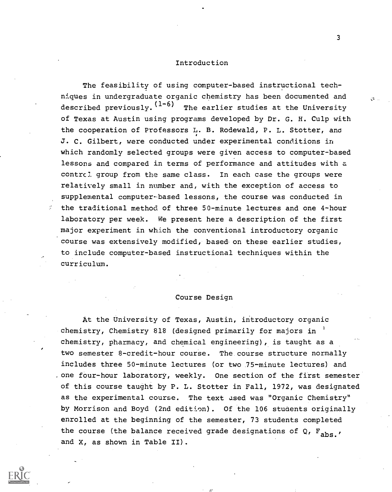#### Introduction

The feasibility of using computer-based instructional techniques in undergraduate organic chemistry has been documented and described previously.  $(1-6)$  The earlier studies at the University of Texas at Austin using programs developed by Dr. G. H. Culp with the cooperation of Professors L. B. Rodewald, P. L. Stotter, and J. C. Gilbert, were conducted under experimental conditions in which randomly selected groups were given access to computer-based lessons and compared in terms of performance and attitudes with a contrcl group from the same class. In each case the groups were relatively small in number and, with the exception of access to supplemental computer-based lessons, the course was conducted in the traditional method of three 50-minute lectures and one 4-hour laboratory per week. We present here a description of the first major experiment in which the conventional introductory organic course was extensively modified, based on these earlier studies, to include computer-based instructional techniques within the curriculum.

# Course Design

At the University of Texas, Austin, introductory organic chemistry, Chemistry 818 (designed primarily for majors in ' chemistry, pharmacy, and chemical engineering), is taught as a two semester 8-credit-hour course. The course structure normally includes three 50-minute lectures (or two 75-minute lectures) and one four-hour laboratory, weekly. One section of the first semester of this course taught by P. L. Stotter in Fall, 1972, was designated as the experimental course. The text used was "Organic Chemistry" by Morrison and Boyd (2nd edition). Of the 106 students originally enrolled at the beginning of the semester, 73 students completed the course (the balance received grade designations of Q,  $F_{abs}$ , and X, as shown in Table II).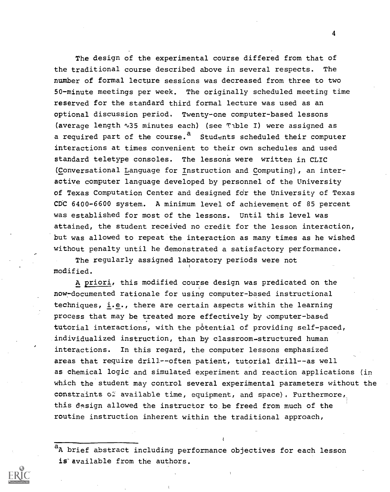The design of the experimental course differed from that of the traditional course described above in several respects. The number of formal lecture sessions was decreased from three to two 50-minute meetings per week. The originally scheduled meeting time reserved for the standard third formal lecture was used as an optional discussion period. Twenty-one computer-based lessons (average length  $\sqrt{35}$  minutes each) (see Tible I) were assigned as a required part of the course.<sup>a</sup> Students scheduled their computer interactions at times convenient to their own schedules and used standard teletype consoles. The lessons were written in CLIC (Conversational Language for Instruction and Computing), an inter- \_ active computer language developed by personnel of the University of Texas Computation Center and designed for the University of Texas CDC 6400-6600 system. A minimum level of achievement of 85 percent was established for most of the lessons. Until this level was attained, the student received no credit for the lesson interaction, but was allowed to repeat the interaction as many times as he wished without penalty until he demonstrated a satisfactory performance.

The regularly assigned laboratory periods were not modified.

A priori, this modified course design was predicated on the now - documented rationale for using computer-based instructional techniques, i.e., there are certain aspects within the learning process that may be treated more effectively by computer-based tutorial interactions, with the potential of providing self-paced, individualized instruction, than by classroom-structured human interactions. In this regard, the computer lessons emphasized areas that require drill--often patient, tutorial drill--as well as chemical logic and simulated experiment and reaction applications (in which the student may control several experimental parameters without the constraints  $0.2$  available time, equipment, and space), Furthermore, this design allowed the instructor to be freed from much of the routine instruction inherent within the traditional approach,

<sup>a</sup>A brief abstract including performance objectives for each lesson is available from the authors.

 $\overline{\mathbf{4}}$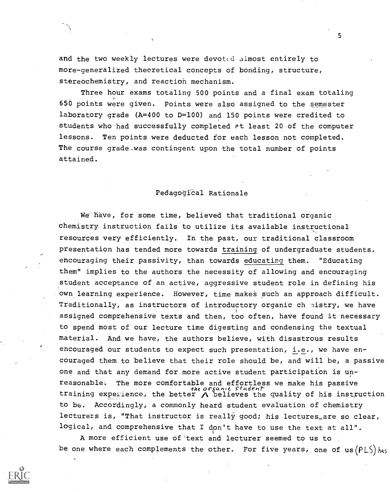and the two weekly lectures were devoted almost entirely to more-generalized theoretical concepts of bonding, structure, stereochemistry, and reaction mechanism.

Three hour exams totaling 500 points and a final exam totaling 650 points were given. Points were also assigned to the semester laboratory grade (A=400 to D=100) and 150 points were credited to students who had successfully completed at least 20 of the computer lessons. Ten points were deducted for each lesson not completed. The course grade was contingent upon the total number of points attained.

Pedagogical Rationale

We have, for some time, believed that traditional organic chemistry instruction fails to utilize its available instructional resources very efficiently. In the past, our traditional classroom presentation has tended more towards training of undergraduate students, encouraging their passivity, than towards educating them. "Educating them" implies to the authors the necessity of allowing and encouraging student acceptance of an active, aggressive student role in defining his own learning experience. However, time makes such an approach difficult. Traditionally, as instructors of introductory organic ch nistry, we have assigned comprehensive texts and then, too often, have found it necessary to spend most of our lecture time digesting and condensing the textual material. And we have, the authors believe, with disastrous results encouraged our students to expect such presentation, i.e., we have encouraged them to believe that their role should be, and will be, a passive one and that any demand for more active student participation is unreasonable. The more comfortable and effortless we make his passive the organic student training experience, the better  $\bigwedge$  believes the quality of his instruction to be. Accordingly, a commonly heard student evaluation of chemistry lecturers is, "That instructor is really good; his lectures, are so clear, logical, and comprehensive that I don't have to use the text at all".

A more efficient use of'text and lecturer seemed to us to be one where each complements the other. For five years, one of  $us(PLS)$  has

 $5<sub>1</sub>$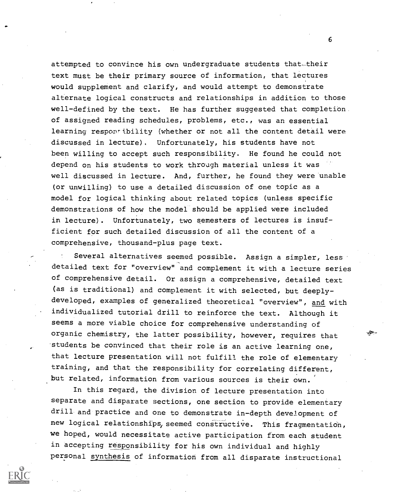attempted to convince his own undergraduate students that. their text must be their primary source of information, that lectures would supplement and clarify, and would attempt to demonstrate alternate logical constructs and relationships in addition to those well-defined by the text. He has further suggested that completion. of assigned reading schedules, problems, etc., was an essential learning responsibility (whether or not all the content detail were discussed in lecture). Unfortunately, his students have not been willing to accept such responsibility. He found he could not depend on his students to work through material unless it was well discussed in lecture. And, further, he found they were unable (or unwilling) to use a detailed discussion of one topic as a model for logical thinking about related topics (unless specific demonstrations of how the model should be applied were included in lecture). Unfortunately, two semesters of lectures is insufficient for such detailed discussion of all the content of a comprehensive, thousand-plus page text.

Several alternatives seemed possible. Assign a simpler, less detailed text for "overview" and complement it with a lecture series of comprehensive detail. Or assign a comprehensive, detailed text (as is traditional) and complement it with selected, but deeplydeveloped, examples of generalized theoretical "overview", and with individualized tutorial drill to reinforce the text. Although it seems a more viable choice for comprehensive understanding of organic chemistry, the latter possibility, however, requires that -students be convinced that their role is an active learning one, that lecture presentation will not fulfill the role of elementary training, and that the responsibility for correlating different, but related, information from various sources is their own.

In this regard, the division of lecture presentation into separate and disparate sections, one section to provide elementary drill and practice and one to demonstrate in-depth development of new logical relationships, seemed constructive. This fragmentation, we hoped, would necessitate active participation from each student in accepting responsibility for his own individual and highly personal synthesis of information from all disparate instructional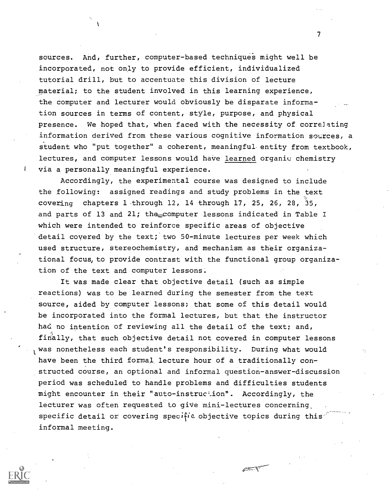sources. And, further, computer-based techniques might well be incorporated, not only to provide efficient, individualized tutorial drill, but to accentuate this division of lecture material; to the student involved in this learning experience, the computer and lecturer would obviously be disparate information sources in terms of content, style, purpose, and physical presence. We hoped that, when faced with the necessity of correlating information derived from these various cognitive information sources, a student who "put together" a coherent, meaningful- entity from textbook, lectures, and computer lessons would have learned organic chemistry via a personally meaningful experience.

Accordingly, the experimental course was designed to include the following: assigned readings and study problems in the text covering chapters 1.through 12, 14 through 17, 25, 26, 28, 35, and parts of 13 and 21; the computer lessons indicated in Table I which were intended to reinforce specific areas of objective detail covered by the text; two 50-minute lectures per week which used structure, stereochemistry, and mechanism as their organizational focus, to provide contrast with the functional group organization of the text and computer lessons.

It was made clear that objective detail (such as simple reactions) was to be learned during the semester from the text source, aided by computer lessons; that some of this detail would be incorporated into the formal lectures, but that the instructor had no intention of reviewing all the detail of the text; and, finally, that such objective detail not covered in computer lessons was nonetheless each student's responsibility. During what would have been the third formal lecture hour of a traditionally constructed course, an optional and informal question-answer-discussion period was scheduled to handle problems and difficulties students might encounter in their "auto-instruction". Accordingly, the lecturer was often requested to give mini-lectures concerning specific detail or covering specific objective topics during this informal meeting.

**CENT** 



 $\mathcal{T}$  and  $\mathcal{T}$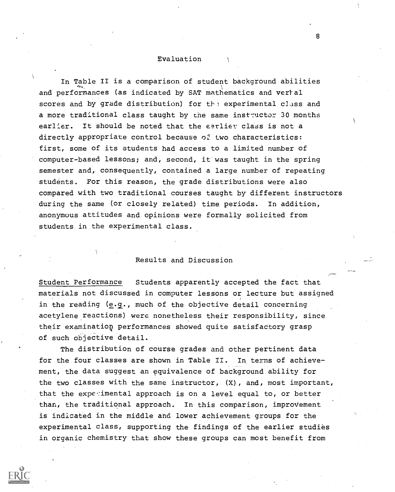#### Evaluation

In Table II is a comparison of student background abilities and performances (as indicated by SAT mathematics and verhal scores and by grade distribution) for the experimental class and a more traditional class taught by the same instructor 30 months earlier. It should be noted that the earlier class is not a directly appropriate control because of two characteristics: first, some of its students had access to a limited number of computer-based lessons; and, second, it was taught in the spring semester and, consequently, contained a large number of repeating students. For this reason, the grade distributions were also compared with two traditional courses taught by different instructors during the same (or closely related) time periods. In addition, anonymous attitudes and opinions were formally solicited from students in the experimental class.

# Results and Discussion

Student Performance Students apparently accepted the fact that materials not discussed in computer lessons or lecture but assigned in the reading (e.g., much of the objective detail concerning acetylene reactions) were nonetheless their responsibility, since their examination performances showed quite satisfactory grasp of such objective detail.

The distribution of course grades and other pertinent data for the four classes are shown in Table II. In terms of achievement, the data suggest an equivalence of background ability for the two classes with the same instructor, (X), and, most important, that the experimental approach is on a level equal to, or better than, the traditional approach. In this comparison, improvement is indicated in the middle and lower achievement groups for the experimental class, supporting the findings of the earlier studies in organic chemistry that show these groups can most benefit from

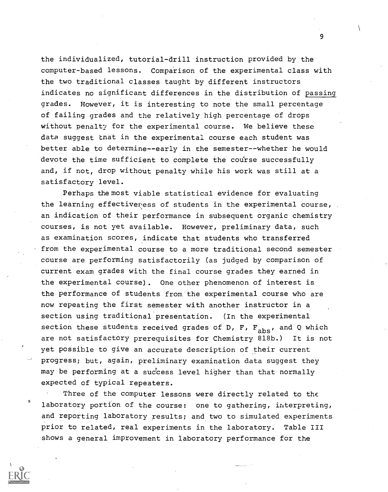the individualized, tutorial-drill instruction provided by the computer-based lessons. Comparison of the experimental class with the two traditional classes taught by different instructors indicates no significant differences in the distribution of passing grades. However, it is interesting to note the small percentage of failing grades and the relatively high percentage of drops without penalty for the experimental course. We believe these data suggest that in the experimental course each student was better able to determine--early in the semester--whether he would devote the time sufficient to complete the course successfully and, if not, drop without penalty while his work was still at a satisfactory level.

Perhaps the most viable statistical evidence for evaluating the learning effectiveness of students in the experimental course, an indication of their performance in subsequent organic chemistry courses, is not yet available. However, preliminary data, such as examination scores, indicate that students who transferred from the experimental course to a more traditional second semester course are performing satisfactorily (as judged by comparison of current exam grades with the final course grades they earned in the experimental course). One other phenomenon of interest is the performance of students from the experimental course who are now repeating the first semester with another instructor in a section using traditional presentation. (In the experimental section these students received grades of D, F,  $F_{abs}$ , and Q which are not satisfactory prerequisites for Chemistry 818b.) It is not yet possible to give an accurate description of their current progress; but, again, preliminary examination data suggest they may be performing at a success level higher than that normally expected of typical repeaters.

Three of the computer lessons were directly related to the laboratory portion of the course: one to gathering, interpreting, and reporting laboratory results; and two to simulated experiments prior to related, real experiments in the laboratory. Table III shows a general improvement in laboratory performance for the

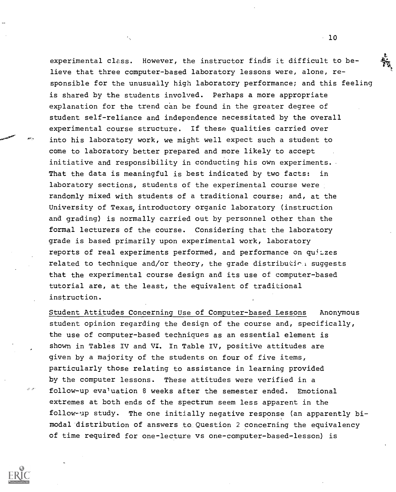experimental class. However, the instructor finds it difficult to believe that three computer-based laboratory lessons were, alone, responsible for the unusually high laboratory performance; and this feeling is shared by the students involved. Perhaps a more appropriate explanation for the trend can be found in the greater degree of student self-reliance and independence necessitated by the overall experimental course structure. If these qualities carried over into his laboratory work, we might well expect such a student to come to laboratory better prepared and more likely to accept initiative and responsibility in conducting his own experiments. That the data is meaningful is best indicated by two facts: in laboratory sections, students of the experimental course were randomly mixed with students of a traditional course; and, at the University of Texas, introductory organic laboratory (instruction and grading) is normally carried out by personnel other than the formal lecturers of the course. Considering that the laboratory grade is based primarily upon experimental work, laboratory reports of real experiments performed, and performance on quitzes related to technique and/or theory, the grade distribution suggests that the experimental course design and its use of computer-based tutorial are, at the least, the equivalent of traditional instruction.

Student Attitudes Concerning Use of Computer-based Lessons Anonymous student opinion regarding the design of the course and, specifically, the use of computer-based techniques as an essential element is shown in Tables IV and VI. In Table IV, positive attitudes are given by a majority of the students on four of five items, particularly those relating to assistance in learning provided by the computer lessons. These attitudes were verified in a follow-up evaluation 8 weeks after the semester ended. Emotional extremes at both ends of the spectrum seem less apparent in the follow-up study. The one initially negative response (an apparently bimodal distribution of answers to Question 2 concerning the equivalency of time required for one-lecture vs one-computer-based-lesson) is

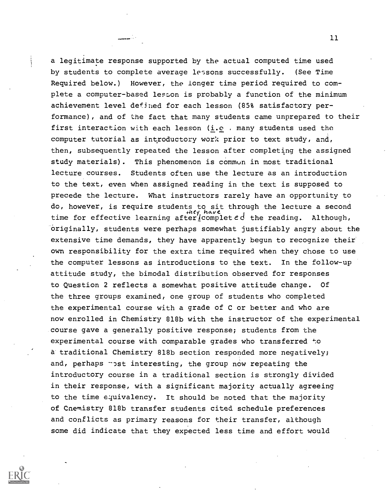a legitimate response supported by the actual computed time used by students to complete average lessons successfully. (See Time Required below.) However, the longer time period required to complete a computer-based lesson is probably a function of the minimum achievement level defined for each lesson (85% satisfactory performance), and of the fact that many students came unprepared to their first interaction with each lesson (i.e . many students used the computer tutorial as introductory work prior to text study, and, then, subsequently repeated the lesson after completing the assigned study materials). This phenomenon is common in most traditional lecture courses. Students often use the lecture as an introduction to the text, even when assigned reading in the text is supposed to precede the lecture. What instructors rarely have an opportunity to do, however, is require students to sit through the lecture a second time for effective learning after/completed the reading. Although, originally, students were perhaps somewhat justifiably angry about the extensive time demands, they have apparently begun to recognize their own responsibility for the extra time required when they chose to use the computer lessons as introductions to the text. In the follow-up attitude study, the bimodal distribution observed for responses to Question 2 reflects a somewhat positive attitude change. Of the three groups examined, one group of students who completed the experimental course with a grade of C or better and who are now enrolled in Chemistry 818b with the instructor of the experimental course gave a generally positive response; students from the experimental course with comparable grades who transferred to a traditional Chemistry 818b section responded more negatively; and, perhaps  $\neg$ st interesting, the group now repeating the introductory course in a traditional section is strongly divided in their response, with a significant majority actually agreeing to the time equivalency. It should be noted that the majority of Cnemistry 818b transfer students cited schedule preferences and conflicts as primary reasons for their transfer, although some did indicate that they expected less time and effort would

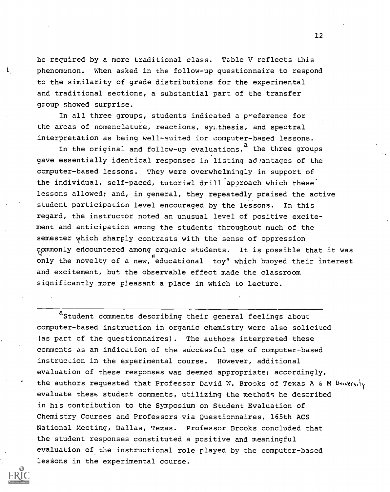be required by a more traditional class. Table V reflects this phenomenon. When asked in the follow-up questionnaire to respond to the similarity of grade distributions for the experimental and traditional sections, a substantial part of the transfer group showed surprise.

ί

In all three groups, students indicated a preference for the areas of nomenclature, reactions, sy;.thesis, and spectral interpretation as being well-suited for computer-based lessons.

In the original and follow-up evaluations,  $a$  the three groups gave essentially identical responses in listing ad rantages of the computer-based lessons. They were overwhelmingly in support of the individual, self-paced, tutorial drill approach which these lessons allowed; and, in general, they repeatedly praised the active student participation level encouraged by the lessons. In this regard, the instructor noted an unusual level of positive excitement and anticipation among the students throughout much of the semester which sharply contrasts with the sense of oppression commonly encountered among organic students. It is possible that it was only the novelty of a new, educational toy" which buoyed their interest and excitement, but the observable effect made the classroom significantly more pleasant .a place in which to lecture.

aStudent comments describing their general feelings about computer-based instruction in organic chemistry were also solicited (as part of the questionnaires). The authors interpreted these comments as an indication of the successful use of computer-based instruction in the experimental course. However, additional evaluation of these responses was deemed appropriate; accordingly, the authors requested that Professor David W. Brooks of Texas A & M University evaluate these. student comments, utilizing the methods he described in his contribution to the Symposium on Student Evaluation of Chemistry Courses and Professors via Questionnaires, 165th ACS National Meeting, Dallas, Texas. Professor Brooks concluded that the student responses constituted a positive and meaningful evaluation of the instructional role played by the computer-based lessons in the experimental course.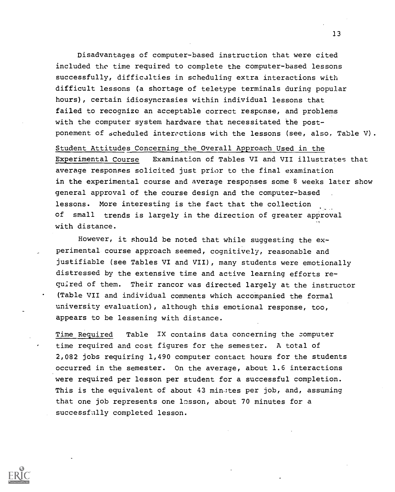Disadvantages of computer-based instruction that were cited included the time required to complete the computer-based lessons successfully, difficulties in scheduling extra interactions with difficult lessons (a shortage of teletype terminals during popular hours), certain idiosyncrasies within individual lessons that failed to recognize an acceptable correct response, and problems with the computer system hardware that necessitated the postponement of scheduled interactions with the lessons (see, also. Table V).

Student Attitudes Concerning the Overall Approach Used in the Experimental Course Examination of Tables VI and VII illustrates that average responses solicited just prior to the final examination in the experimental course and average responses some 8 weeks later show general approval of the course design and the computer-based lessons. More interesting is the fact that the collection of small trends is largely in the direction of greater approval with distance.

However, it should be noted that while suggesting the experimental course approach seemed, cognitively, reasonable and justifiable (see Tables VI and VII), many students were emotionally distressed by the extensive time and active learning efforts required of them. Their rancor was directed largely at the instructor (Table VII and individual comments which accompanied the formal university evaluation), although this emotional response, too, appears to be lessening with distance.

Time Required Table IX contains data concerning the computer time required and cost figures for the semester. A total of 2,082 jobs requiring 1,490 computer contact hours for the students occurred in the semester. On the average, about 1.6 interactions were required per lesson per student for a successful completion. This is the equivalent of about 43 min:tes per job, and, assuming that one job represents one losson, about 70 minutes for a successfully completed lesson.

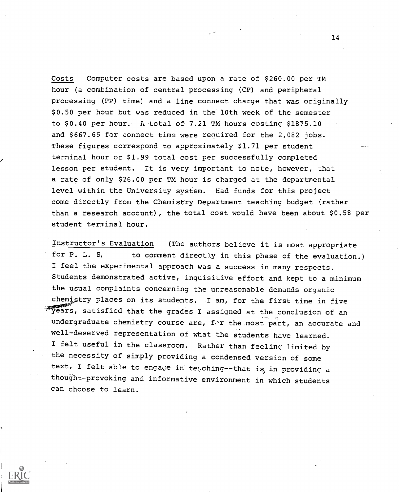Costs Computer costs are based upon a rate of \$260.00 per TM hour (a combination of central processing (CP) and peripheral processing (PP) time) and a line connect charge that was originally \$0.50 per hour but was reduced in the 10th week of the semester to \$0.40 per hour. A total of 7.21 TM hours costing \$1875.10 and \$667.65 for connect time were required for the 2,082 jobs. These figures correspond to approximately \$1.71 per student terminal hour or \$1.99 total cost per successfully completed lesson per student. It is very important to note, however, that a rate of only \$26.00 per TM hour is charged at the departmental level within the University system. Had funds for this project come directly from the Chemistry Department teaching budget (rather than a research account), the total cost would have been about \$0.58 per student terminal hour.

Instructor's Evaluation (The authors believe it is most appropriate for P. L. S, to comment directly in this phase of the evaluation.) I feel the experimental approach was a success in many respects. Students demonstrated active, inquisitive effort and kept to a minimum the usual complaints concerning the unreasonable demands organic chemistry places on its students. I am, for the first time in five  $\sqrt[n]{2}$  pears, satisfied that the grades I assigned at the conclusion of an undergraduate chemistry course are, for the most part, an accurate and well-deserved representation of what the students have learned. I felt useful in the classroom. Rather than feeling limited by the necessity of simply providing a condensed version of some text, I felt able to engage in teaching--that is, in providing a thought-provoking and informative environment in which students can choose to learn.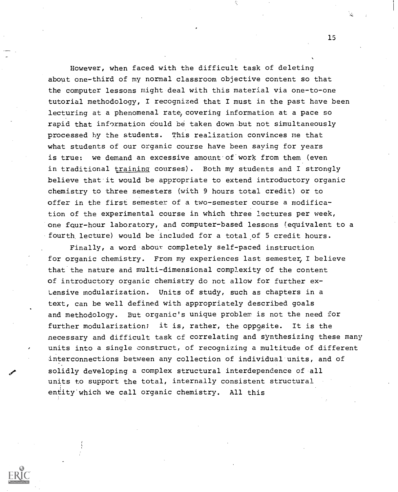However, when faced with the difficult task of deleting about one-third of my normal classroom objective content so that the computer lessons might deal with this material via one-to-one tutorial methodology, I recognized that I must in the past have been lecturing at a phenomenal rate, covering information at a pace so rapid that information could be taken down.but not simultaneously processed by the students. This realization convinces me that what students of our organic course have been saving for years is true: we demand an excessive amount of work from them (even in traditional training courses). Both my students and I strongly believe that it would be appropriate to extend introductory organic chemistry to three semesters (with 9 hours total credit) or to offer in the first semester of a two-semester course a modification of the experimental course in which three lectures per week, one four-hour laboratory, and computer-based lessons (equivalent to a fourth lecture) would be included for a total of 5 credit hours.

Finally, a word about completely self-paced instruction for organic chemistry. From my experiences last semester, I believe that the nature and multi-dimensional complexity of the content of introductory organic chemistry do not allow for further ex-Lensive modularization. Units of study, such as chapters in a text, can be well defined with appropriately described goals and methodology. But organic's unique problem is not the need for further modularization; it is, rather, the opposite. It is the necessary and difficult task cf correlating and synthesizing these many units into a single construct, of recognizing a multitude of different interconnections between any collection of individual units, and of solidly developing a complex structural interdependence of all units to support the total, internally consistent structural entity'which we call organic chemistry. All this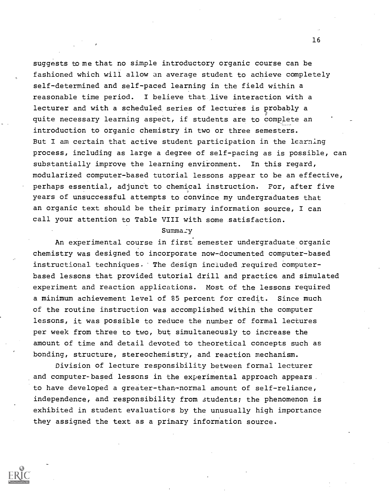suggests to me that no simple introductory organic course can be fashioned which will allow an average student to achieve completely self-determined and self-paced learning in the field within a reasonable time period. I believe that live interaction with a lecturer and with a scheduled, series of lectures is probably a quite necessary learning aspect, if students are to complete an introduction to organic chemistry in two or three semesters. But I am certain that active student participation in the learning process, including as large a degree of self-pacing as is possible, can substantially improve the learning environment. In this regard, modularized computer-based tutorial lessons appear to be an effective, perhaps essential, adjunct to chemical instruction. For, after five years of unsuccessful attempts to convince my undergraduates that an organic text should be their primary information source, I can call your attention to Table VIII with some satisfaction.

## Summa:y

An experimental course in first semester undergraduate organic chemistry was designed to incorporate now-documented computer-based instructional techniques. The design included required computerbased lessons that provided tutorial drill and practice and simulated experiment and reaction applications. Most of the lessons required a minimum achievement level of 85 percent for credit. Since much of the routine instruction was accomplished within the computer lessons, it was possible to reduce the number of formal lectures per week from three to two, but simultaneously to increase the amount of time and detail devoted to theoretical concepts such as bonding, structure, stereochemistry, and reaction mechanism.

Division of lecture responsibility between formal lecturer and computer-based lessons in the experimental approach appears to have developed a greater-than-normal amount of self-reliance, independence, and responsibility from students; the phenomenon is exhibited in student evaluations by the unusually high importance they assigned the text as a primary information source.

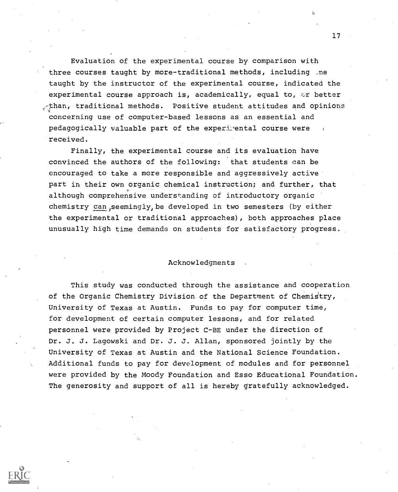Evaluation of the experimental course by comparison with three courses taught by more-traditional methods, including .ne taught by the instructor of the experimental course, indicated the experimental course approach is, academically, equal to,  $\circ\dot{x}$  better  $\angle$ than, traditional methods. Positive student attitudes and opinions concerning use of computer-based lessons as an essential and pedagogically valuable part of the experimental course were received.

Finally, the experimental course and its evaluation have convinced the authors of the following: that students can be encouraged to take a more responsible and aggressively active part in their own organic chemical instruction; and further, that although comprehensive understanding of introductory organic chemistry can, seemingly, be developed in two semesters (by either the experimental or traditional approaches), both approaches place unusually high time demands on students for satisfactory progress.

#### Acknowledgments

This study was conducted through the assistance and cooperation of the Organic Chemistry Division of the Department of Chemistry, University of Texas at Austin. Funds to pay for computer time, for development of certain computer lessons, and for related personnel were provided by Project C-BE under the direction of Dr. J. J. Lagowski and Dr. J. J. Allan, sponsored jointly by the University of Texas at Austin and the National Science Foundation. Additional funds to pay for development of modules and for personnel were provided by the Moody Foundation and Esso Educational Foundation. The generosity and support of all is hereby gratefully acknowledged.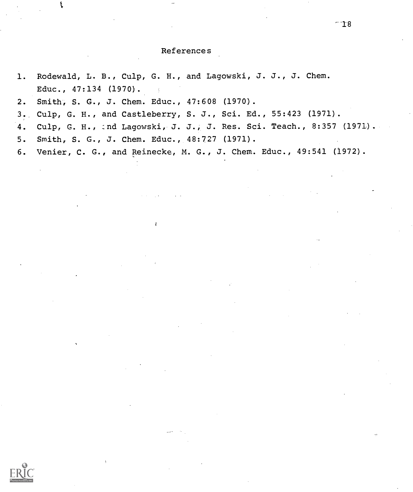$-18$ 

1. Rodewald, L. B., Culp, G. H., and Lagowski, J. J., J. Chem. Educ., 47:134 (1970). 2. Smith, S. G., J. Chem. Educ., 47:608 (1970).

3. Culp, G. H., and Castleberry, S. J., Sci. Ed., 55:423 (1971).

4. Culp, G. H., :nd Lagowski, J. J., J. Res. Sci. Teach., 8:357 (1971).

5. Smith, S. G., J. Chem. Educ., 48:727 (1971).

6. Venier, C. G., and Reinecke, M. G., J. Chem. Educ., 49:541 (1972).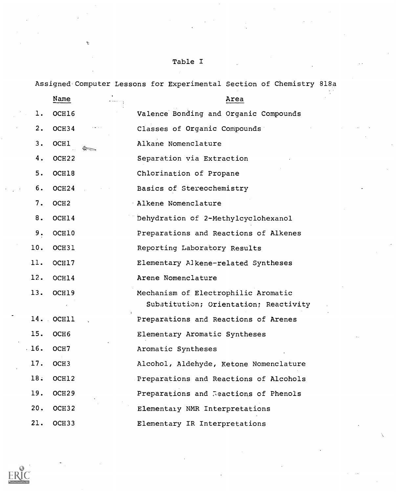# Table I

 $\boldsymbol{\Omega}$ 

Assigned Computer Lessons for Experimental Section of Chemistry 818a

|     | Name              | Area                                                                         |
|-----|-------------------|------------------------------------------------------------------------------|
| l.  | OCH16             | Valence Bonding and Organic Compounds                                        |
| 2.  | OCH <sub>34</sub> | Classes of Organic Compounds                                                 |
| 3.  | <b>OCHI</b>       | Alkane Nomenclature                                                          |
| 4.  | OCH <sub>22</sub> | Separation via Extraction                                                    |
| 5.  | OCH18             | Chlorination of Propane                                                      |
| 6.  | OCH <sub>24</sub> | Basics of Stereochemistry                                                    |
| 7.  | OCH <sub>2</sub>  | Alkene Nomenclature                                                          |
| 8.  | OCH14             | Dehydration of 2-Methylcyclohexanol                                          |
| 9.  | OCH10             | Preparations and Reactions of Alkenes                                        |
| 10. | OCH31             | Reporting Laboratory Results                                                 |
| 11. | OCH17             | Elementary Alkene-related Syntheses                                          |
| 12. | OCH14             | Arene Nomenclature                                                           |
| 13. | OCH19             | Mechanism of Electrophilic Aromatic<br>Substitution; Orientation; Reactivity |
| 14. | OCHIL             | Preparations and Reactions of Arenes                                         |
| 15. | OCH <sub>6</sub>  | Elementary Aromatic Syntheses                                                |
| 16. | OCH7              | Aromatic Syntheses                                                           |
| 17. | OCH <sub>3</sub>  | Alcohol, Aldehyde, Ketone Nomenclature                                       |
| 18. | OCH12             | Preparations and Reactions of Alcohols                                       |
| 19. | OCH <sub>29</sub> | Preparations and Reactions of Phenols                                        |
| 20. | OCH <sub>32</sub> | Elementary NMR Interpretations                                               |
| 21. | OCH <sub>33</sub> | Elementary IR Interpretations                                                |

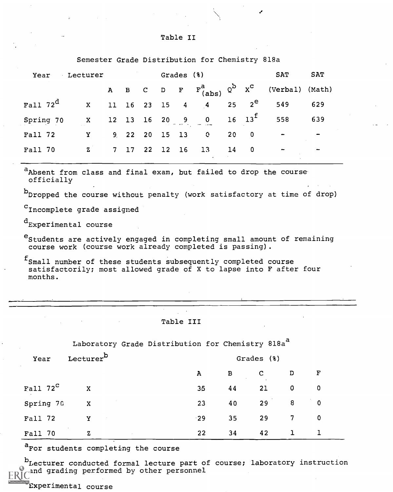## Table II

|             |              |                   |          |            | Demester Grade Distribution for chemistry order |    |                          |                 |            |
|-------------|--------------|-------------------|----------|------------|-------------------------------------------------|----|--------------------------|-----------------|------------|
| Year        | Lecturer     |                   |          | Grades (%) |                                                 |    |                          | <b>SAT</b>      | <b>SAT</b> |
|             |              |                   |          |            | A B C D F $F_{(abs)}^a$ Q <sup>b</sup> $x^c$    |    |                          | (Verbal) (Math) |            |
| Fall $72^d$ | $\mathbf{x}$ |                   |          |            | 11 16 23 15 4 4                                 |    | 25 $2^e$                 | 549             | 629        |
| Spring 70   | X            |                   |          |            | 12 13 16 20 9 0 16 13 <sup>f</sup>              |    |                          | 558             | 639        |
| Fall 72     | Y            | 9, 22, 20, 15, 13 |          |            | $\mathbf{c}$                                    | 20 | $\overline{\phantom{0}}$ |                 |            |
| Fall 70     | $\mathbf{z}$ | 7 17              | 22 12 16 |            | 13                                              | 14 | $\overline{\phantom{0}}$ |                 | -          |
|             |              |                   |          |            |                                                 |    |                          |                 |            |

Semester Grade Distribution for Chemistry 818a

a<sub>Absent from class and final exam, but failed to drop the course</sub> officially

b<sub>Dropped the course without penalty (work satisfactory at time of drop)</sub>

<sup>C</sup>Incomplete grade assigned

 $d_{\text{Experimental course}}$ 

<sup>e</sup>Students are actively engaged in completing small amount of remaining course work (course work already completed is passing).

 $f_{Small}$  number of these students subsequently completed course satisfactorily; most allowed grade of X to lapse into F after four months.

Table III

Laboratory Grade Distribution for Chemistry 818a<sup>a</sup>

| Year                 | Lecturer <sup>b</sup>               |              |              | Grades (%)  |                |                        |  |
|----------------------|-------------------------------------|--------------|--------------|-------------|----------------|------------------------|--|
|                      |                                     | $\mathbf{A}$ | $\mathbf{B}$ | $\mathbf C$ | D              | $\mathbf{F}$           |  |
| Fall $72^{\text{C}}$ | $\mathbf{X}$                        | 35           | 44           | 21          | $\mathbf 0$    | $\overline{0}$         |  |
| Spring 70            | X                                   | 23           | 40           | 29          | 8 <sup>1</sup> | $\ddot{\phantom{0}}$ 0 |  |
| Fall 72              | Y<br>$\sim 10^{11}$ km $^{-1}$      | $-29$        | 35           | 29          | $\overline{7}$ | $\mathbf 0$            |  |
| Fall 70              | $\sim$ 100 $\pm$<br>z<br>$\sim 100$ | 22           | 34           | 42          | $\mathbf{1}$   |                        |  |

a<sub>For students completing the course</sub>

b<sub>Lecturer</sub> conducted formal lecture part of course; laboratory instruction and grading performed by other personnel

Experimental course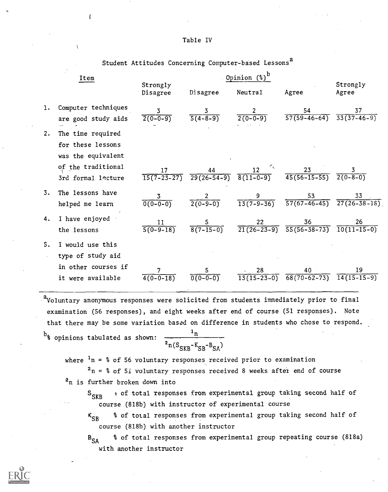| Table IV |  |  |
|----------|--|--|
|          |  |  |

Student Attitudes Concerning Computer-based Lessons<sup>a</sup>

|    | Item                                                                                                     |                                |                    | Opinion $\left(\begin{smallmatrix} 0\\ 0 \end{smallmatrix}\right)^D$ |                                                                                                |                                                     |
|----|----------------------------------------------------------------------------------------------------------|--------------------------------|--------------------|----------------------------------------------------------------------|------------------------------------------------------------------------------------------------|-----------------------------------------------------|
|    |                                                                                                          | Strongly<br>Disagree           | Disagree           | Neutral                                                              | Agree                                                                                          | Strongly<br>Agree                                   |
| 1. | Computer techniques<br>are good study aids                                                               | 3<br>$2(0-0-9)$                | $rac{3}{5(4-8-9)}$ | $\frac{2}{2(0-0-9)}$                                                 | $57(59-46-64)$                                                                                 | 37<br>$\overline{33(37-46-9)}$                      |
| 2. | The time required<br>for these lessons<br>was the equivalent<br>of the traditional<br>3rd formal lecture | 17<br>$\overline{15(7-23-27)}$ |                    |                                                                      | $\frac{44}{29(26-54-9)}$ $\frac{12}{8(11-0-9)}$ $\frac{23}{45(56-15-55)}$ $\frac{3}{2(0-8-0)}$ |                                                     |
| 3. | The lessons have<br>helped me learn                                                                      | $0(0-0-0)$                     | $2(0-9-0)$         | $\frac{9}{13(7-9-36)}$                                               |                                                                                                | $\frac{53}{57(67-46-45)}$ $\frac{33}{27(26-38-18)}$ |
| 4. | I have enjoyed<br>the lessons                                                                            | 11<br>$5(0-9-18)$              | $8(7-15-0)$        |                                                                      | $\frac{22}{21(26-23-9)} \frac{36}{55(56-38-73)} \frac{26}{10(11-15-0)}$                        |                                                     |
| 5. | I would use this<br>type of study aid<br>in other courses if<br>it were available                        | $4(0-0-18)$                    | $0(0-0-0)$         | 28                                                                   | 40<br>$\overline{13(15-23-0)}$ $\overline{68(70-62-73)}$                                       | 19<br>$14(15-15-9)$                                 |
|    |                                                                                                          |                                |                    |                                                                      |                                                                                                |                                                     |

aVoluntary anonymous responses were solicited from students immediately prior to final examination (56 responses), and eight weeks after end of course (51 responses). Note that there may be some variation based on difference in students who chose to respond.

 $b_{\text{%}$  opinions tabulated as shown:

$$
\frac{1_n}{2_n(S_{SKB}-K_{SB}-B_{SA})}
$$

where  $\frac{1}{n}$  = % of 56 voluntary responses received prior to examination

 $2n = 8$  of 51 voluntary responses received 8 weeks after end of course  $2n$  is further broken down into

 $S_{SKR}$  $\epsilon$  of total responses from experimental group taking second half of course (818b) with instructor of experimental course

 $K_{SR}$ % of total responses from experimental group taking second half of course (818h) with another instructor

 $B_{SA}$ % of total responses from experimental group repeating course (818a) with another instructor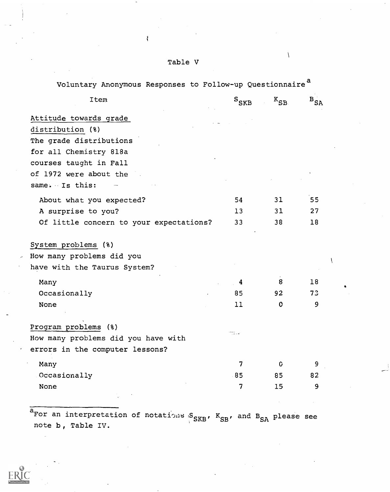| Voluntary Anonymous Responses to Follow-up Questionnaire <sup>a</sup> |                |             |                      |
|-----------------------------------------------------------------------|----------------|-------------|----------------------|
| Item                                                                  | $S_{\rm SKB}$  | $K_{SB}$    | $\mathbf{^{B}_{SA}}$ |
| Attitude towards grade                                                |                |             |                      |
| distribution (%)                                                      |                |             |                      |
| The grade distributions                                               |                |             |                      |
| for all Chemistry 818a                                                |                |             |                      |
| courses taught in Fall                                                |                |             |                      |
| of 1972 were about the                                                |                |             |                      |
| same. Is this:                                                        |                |             |                      |
| About what you expected?                                              | 54             | 31          | 55                   |
| A surprise to you?                                                    | 13             | 31          | 27                   |
| Of little concern to your expectations?                               | 33             | 38          | 18                   |
| System problems (%)                                                   |                |             |                      |
| How many problems did you                                             |                |             |                      |
| have with the Taurus System?                                          |                |             |                      |
| Many                                                                  | 4              | 8           | 18                   |
| Occasionally                                                          | 85             | 92          | 73                   |
| None                                                                  | 11             | $\mathbf 0$ | 9                    |
| Program problems (%)                                                  |                |             |                      |
| How many problems did you have with                                   | 1724.          |             |                      |
| errors in the computer lessons?                                       |                |             |                      |
| Many                                                                  | $\overline{7}$ | C           | 9                    |
| Occasionally                                                          | 85             | 85          | 82                   |
| None                                                                  | $\overline{7}$ | 15          | 9                    |
|                                                                       |                |             |                      |

ar an interpretation of notations  $S_{SRB}$ ,  $K_{SB}$ , and  $B_{SA}$  please see note b, Table IV.



Table V

ľ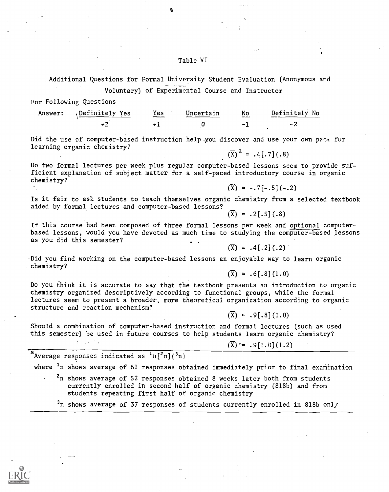## Table VI

Additional QUestions for Formal University Student Evaluation (Anonymous and Voluntary) of Experimental Course and Instructor

For Following Questions

| Answer: | Definitely Yes | Yes | Uncertain | No<br>--- | Definitely No |
|---------|----------------|-----|-----------|-----------|---------------|
|         |                |     |           |           |               |

ą

Did the use of computer-based instruction help you discover and use your own pact for learning organic chemistry?  $(\overline{X})^a = .4[-7] (.8)$ 

Do two formal lectures per week plus regular computer-based lessons seem to provide sufficient explanation of subject matter for a self-paced introductory course in organic chemistry?

Is it fair to ask students to teach themselves organic chemistry from a selected textbook aided by formal lectures and computer-based lessons?

 $(\bar{X}) = .2$ [.5](.8)

 $(\overline{X}) = -.7[-.5](-.2)$ 

If this course had been composed of three formal lessons per week and optional computerbased lessons, would you have devoted as much time to studying the computer-based lessons as you did this semester?

 $(\overline{X}) = .4$ [.2] (.2)

-Did you find working on the computer-based lessons an enjoyable way to learn organic chemistry?

 $(\overline{X}) = .6[-8] (1.0)$ 

Do you think it is accurate to say that the textbook presents an introduction to organic chemistry organized descriptively according to functional groups, while the formal lectures seem to present a broader, more theoretical organization according to organic structure and reaction mechanism?

 $(\overline{X}) = .91.81(1.0)$ 

Should a combination of computer-based instruction and formal lectures (such as used this semester) be used in future courses to help students learn organic chemistry?

 $(\overline{X}) \cong .9[1.0] (1.2)$ 

a<br>Average responses indicated as  $\frac{1}{n}$ [ $\frac{2}{n}$ ]( $\frac{3}{n}$ )

where <sup>1</sup>n shows average of 61 responses obtained immediately prior to final examination

 $2n$  shows average of 52 responses obtained 8 weeks later both from students currently enrolled in second half of organic chemistry (818b) and from students repeating first half of organic chemistry

 $3n$  shows average of 37 responses of students currently enrolled in 818b onl/

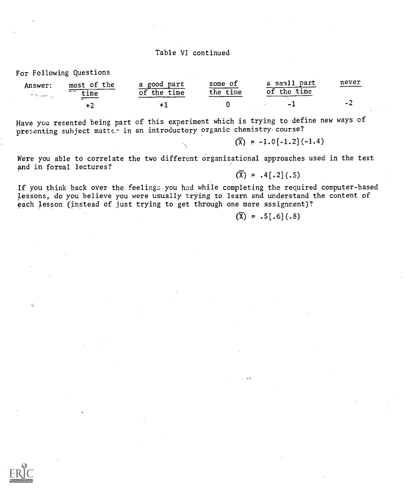## Table VI continued

#### For Following Questions

| Answer:                                                                         | most of the               | a good part       | some of      | a small<br>part   | never |  |
|---------------------------------------------------------------------------------|---------------------------|-------------------|--------------|-------------------|-------|--|
| $\mathcal{F}^{\text{reg}}$ is a space $\mathcal{F}^{\text{reg}}_{\text{reg}}$ . | $ -$<br>$_{\texttt{cme}}$ | time<br>the<br>οf | time<br>the. | time<br>the<br>Οİ |       |  |
|                                                                                 |                           |                   |              | $\sim$ 1          |       |  |

Have you resented being part of this experiment which is trying to define new ways of presenting subject matter in an introductory organic chemistry course?

 $(\overline{X}) = -1.0[-1.2](-1.4)$ 

Were you able to correlate the two different organizational approaches used in the text and in formal lectures?

 $(\overline{X}) = .4[.2](.5)$ 

If you think back over the feelings you had while completing the required computer-based lessons, do you believe you were usually trying to learn and understand the content of each lesson (instead of just trying to get through one more assignment)?

 $(\bar{X}) = .5[.6](.8)$ 



чĒ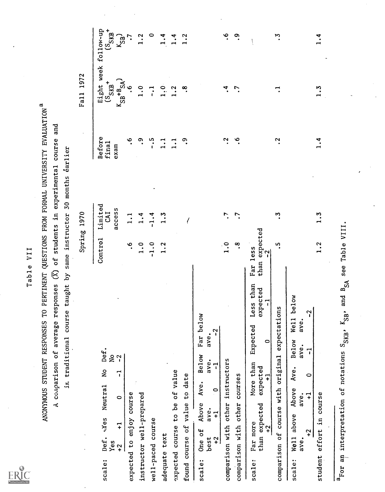Table VII<br>ANONYMOUS STUDENT RESPONSES TO PERTINENT QUESTIONS FROM FORMAL UNIVERSITY EVALUATION<sup>a</sup><br>A comparison of average responses (X) of students in experimental course and<br>in traditional course taught by same instructor

| 1<br>r   |
|----------|
| $\sigma$ |
| —        |
|          |
| s<br>г   |
| π        |
| ц.       |
|          |
|          |

|                                                                                                                                                                       |                                                          | Spring 1970              |                         | <b>Fall</b> 1972                                                                          |              |
|-----------------------------------------------------------------------------------------------------------------------------------------------------------------------|----------------------------------------------------------|--------------------------|-------------------------|-------------------------------------------------------------------------------------------|--------------|
| Def.<br>$\frac{1}{2}$<br>$\overline{\phantom{a}}$<br>$\frac{1}{2}$<br>$\mathbf{r}$<br>Meutral<br>$\circ$<br>$\overline{+}$<br>Def.<br>Yes<br>$+2$<br>scale:           | Control                                                  | Limited<br>access<br>CAI | Before<br>final<br>exam | Eight week follow-up<br>(S <sub>SKB</sub> +<br>(S <sub>SKB</sub> +<br>$K_{SB}$ + $B_{SA}$ | $K_{SB}$     |
| expected to enjoy course                                                                                                                                              | ۽                                                        |                          | ©                       | ڣ                                                                                         |              |
| instructor well-prepared                                                                                                                                              | $\ddot{ }$ .                                             | 1.4                      | <u>ო</u>                | $\frac{0}{1}$                                                                             | 1.2          |
| well-paced course                                                                                                                                                     | $-1.0$                                                   | $-1.4$                   |                         | $\vec{\cdot}$                                                                             | $\circ$      |
| adequate text                                                                                                                                                         | 1.2                                                      | $\frac{3}{1}$            | $\frac{1}{4}$           | $\ddot{a}$ .                                                                              | 1.4          |
| expected course to be of value                                                                                                                                        |                                                          |                          | <u>.</u>                | 1.2                                                                                       | $\ddot{ }$ . |
| found course of value to date                                                                                                                                         |                                                          |                          | ్:                      | œ.                                                                                        | 1.2          |
| below<br>$\mathbf{r}$<br>ave.<br>Far<br>Below<br>ave.<br>$\mathbf{r}$<br>Ave.<br>$\circ$<br>Above<br>ave.<br>$\overline{+}$<br>One of<br>best<br>$\ddot{ }$<br>scale: |                                                          |                          |                         |                                                                                           |              |
| comparison with other instructors                                                                                                                                     | $\overline{1}$ .0                                        |                          | ن.<br>ا                 |                                                                                           | ڢ            |
| comparison with other courses                                                                                                                                         | °.                                                       |                          | ڢ.                      | r.                                                                                        | ာ့<br>•      |
| than<br>expected<br>$\sqrt{1}$<br>Less<br>Expected<br>$\circ$<br>More than<br>expected<br>$\mathbf{r}$<br>than expected<br>Far more<br>$+2$<br>scale:                 | expected<br>Far less<br>$\overline{\phantom{a}}$<br>than |                          |                         |                                                                                           |              |
| expectations<br>comparison of course with original                                                                                                                    | S.                                                       | Z                        | L.                      | ⊶                                                                                         | بر<br>ڊ      |
| below<br>$\mathbf{r}$<br>Well<br>ave.<br>Below<br>ave.<br>7<br>Ave.<br>$\circ$<br>Above<br>$\vec{+}$<br>ave.<br>above<br>$\ddot{ }$<br>Well<br>ave.<br>scale:         |                                                          |                          |                         |                                                                                           |              |
| student effort in course                                                                                                                                              | 1.2                                                      | 1.3                      | $\frac{4}{1}$           | ς.                                                                                        | 4.           |
| $a_{\text{For an interpretation of notations } S_{SRP}}$ , $K_{SB}$ ,                                                                                                 | and B <sub>SA</sub> see Table VIII.                      |                          |                         |                                                                                           |              |
|                                                                                                                                                                       |                                                          |                          |                         |                                                                                           |              |

ERIC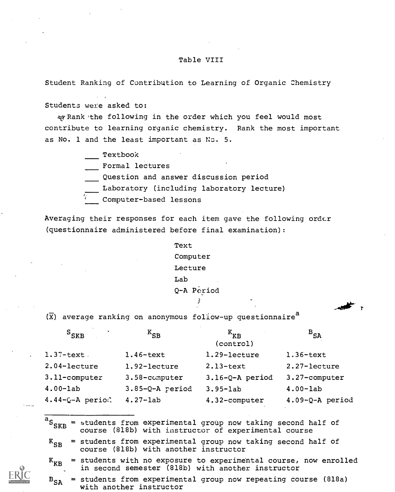# Table VIII

Student Ranking of Contribution to Learning of Organic Chemistry

Students were asked to:

 $\ast$  Rank the following in the order which you feel would most contribute to learning organic chemistry. Rank the most important as No. 1 and the least important as No. 5.

Textbook

Formal lectures

Question and answer discussion period

Laboratory (including laboratory lecture)

Computer-based lessons

Averaging their responses for each item gave the following order (questionnaire administered before final examination):

> Text Computer Lecture Lab Q-A Period

 $(\overline{x})$  average ranking on anonymous follow-up questionnaire<sup>d</sup>

| $S_{SKB}$             | $K_{SB}$          | $K_{\kappa R}$<br>(control) | $^{\rm B}$ SA     |
|-----------------------|-------------------|-----------------------------|-------------------|
| $1.37$ -text.         | $1.46$ -text      | 1.29-lecture                | $1.36$ -text      |
| 2.04-lecture          | 1.92-lecture      | $2.13$ -text                | 2.27-lecture      |
| $3.11$ -computer      | 3.58-computer     | $3.16-Q-A$ period           | 3.27-computer     |
| $4.00 - lab$          | $3.85-Q-A$ period | $3.95 - lab$                | $4.00 - lab$      |
| $4.44 - Q - A$ period | $4.27 - lab$      | 4.32-computer               | $4.09-Q-A$ period |

 ${}^{\mathsf{L}}\mathsf{S}_{\mathsf{SKB}}$  $=$  students from experimental group now taking second half of course (818b) with instructor of experimental course

 $K_{SR}$  = students from experimental group now taking second half of course (818b) with another instructor

 $K_{KR}$  = students with no exposure to experimental course, now enrolled in second semester (818b) with another instructor

 $B_{c\lambda}$  = students from experimental group now repeating course (818a) with another instructor